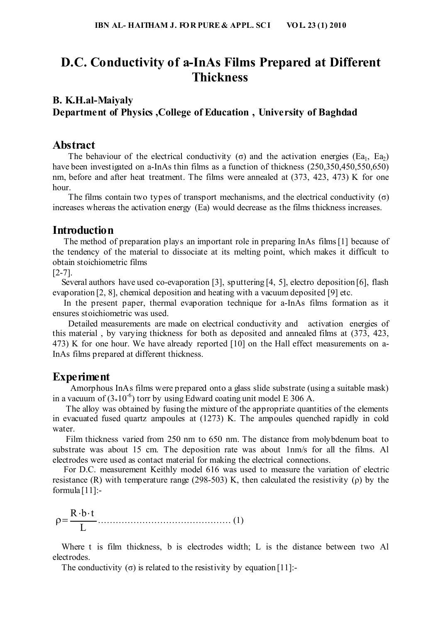## **D.C. Conductivity of a-InAs Films Prepared at Different Thickness**

### **B. K.H.al-Maiyaly Department of Physics ,College of Education , University of Baghdad**

#### **Abstract**

The behaviour of the electrical conductivity (σ) and the activation energies (Ea<sub>1</sub>, Ea<sub>2</sub>) have been investigated on a-InAs thin films as a function of thickness (250,350,450,550,650) nm, before and after heat treatment. The films were annealed at (373, 423, 473) K for one hour.

The films contain two types of transport mechanisms, and the electrical conductivity ( $\sigma$ ) increases whereas the activation energy (Ea) would decrease as the films thickness increases.

#### **Introduction**

 The method of preparation plays an important role in preparing InAs films[1] because of the tendency of the material to dissociate at its melting point, which makes it difficult to obtain stoichiometric films

[2-7].

 Several authors have used co-evaporation [3], sputtering [4, 5], electro deposition [6], flash evaporation [2, 8], chemical deposition and heating with a vacuum deposited [9] etc.

 In the present paper, thermal evaporation technique for a-InAs films formation as it ensures stoichiometric was used.

 Detailed measurements are made on electrical conductivity and activation energies of this material , by varying thickness for both as deposited and annealed films at (373, 423, 473) K for one hour. We have already reported [10] on the Hall effect measurements on a-InAs films prepared at different thickness.

#### **Experiment**

 Amorphous InAs films were prepared onto a glass slide substrate (using a suitable mask) in a vacuum of  $(3*10^{-6})$  torr by using Edward coating unit model E 306 A.

 The alloy was obtained by fusing the mixture of the appropriate quantities of the elements in evacuated fused quartz ampoules at (1273) K. The ampoules quenched rapidly in cold water

 Film thickness varied from 250 nm to 650 nm. The distance from molybdenum boat to substrate was about 15 cm. The deposition rate was about 1nm/s for all the films. Al electrodes were used as contact material for making the electrical connections.

 For D.C. measurement Keithly model 616 was used to measure the variation of electric resistance (R) with temperature range (298-503) K, then calculated the resistivity ( $\rho$ ) by the formula  $[11]$ :-

L  $R \cdot b \cdot t$ ……………………………………… (1)

 Where t is film thickness, b is electrodes width; L is the distance between two Al electrodes.

The conductivity  $(\sigma)$  is related to the resistivity by equation [11]:-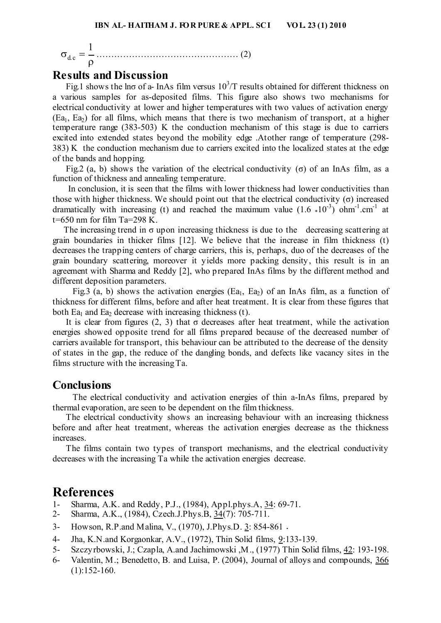$\sigma_{\rm dc} = \frac{1}{\rho}$ 1 c.d ………………………………………… (2)

#### **Results and Discussion**

Fig.1 shows the lno of a- InAs film versus  $10<sup>3</sup>/T$  results obtained for different thickness on a various samples for as-deposited films. This figure also shows two mechanisms for electrical conductivity at lower and higher temperatures with two values of activation energy  $(Ea_1, Ea_2)$  for all films, which means that there is two mechanism of transport, at a higher temperature range (383-503) K the conduction mechanism of this stage is due to carriers excited into extended states beyond the mobility edge .Atother range of temperature (298- 383) K the conduction mechanism due to carriers excited into the localized states at the edge of the bands and hopping.

Fig. 2 (a, b) shows the variation of the electrical conductivity (σ) of an InAs film, as a function of thickness and annealing temperature.

 In conclusion, it is seen that the films with lower thickness had lower conductivities than those with higher thickness. We should point out that the electrical conductivity  $(\sigma)$  increased dramatically with increasing (t) and reached the maximum value  $(1.6 * 10^{-3})$  ohm<sup>-1</sup> cm<sup>-1</sup> at  $t=650$  nm for film Ta=298 K.

The increasing trend in  $\sigma$  upon increasing thickness is due to the decreasing scattering at grain boundaries in thicker films [12]. We believe that the increase in film thickness (t) decreases the trapping centers of charge carriers, this is, perhaps, duo of the decreases of the grain boundary scattering, moreover it yields more packing density, this result is in an agreement with Sharma and Reddy [2], who prepared InAs films by the different method and different deposition parameters.

Fig.3 (a, b) shows the activation energies (Ea<sub>1</sub>, Ea<sub>2</sub>) of an InAs film, as a function of thickness for different films, before and after heat treatment. It is clear from these figures that both Ea<sub>1</sub> and Ea<sub>2</sub> decrease with increasing thickness (t).

It is clear from figures (2, 3) that  $\sigma$  decreases after heat treatment, while the activation energies showed opposite trend for all films prepared because of the decreased number of carriers available for transport, this behaviour can be attributed to the decrease of the density of states in the gap, the reduce of the dangling bonds, and defects like vacancy sites in the films structure with the increasing Ta.

#### **Conclusions**

 The electrical conductivity and activation energies of thin a-InAs films, prepared by thermal evaporation, are seen to be dependent on the film thickness.

 The electrical conductivity shows an increasing behaviour with an increasing thickness before and after heat treatment, whereas the activation energies decrease as the thickness increases.

 The films contain two types of transport mechanisms, and the electrical conductivity decreases with the increasing Ta while the activation energies decrease.

### **References**

- 1- Sharma, A.K. and Reddy, P.J., (1984), Appl.phys.A, 34: 69-71.
- 2- Sharma, A.K., (1984), Czech.J.Phys.B, 34(7): 705-711.
- 3- Howson, R.P.and Malina, V., (1970), J.Phys.D. 3: 854-861 .
- 4- Jha, K.N.and Korgaonkar, A.V., (1972), Thin Solid films, 9:133-139.
- 5- Szczyrbowski, J.; Czapla, A.and Jachimowski ,M., (1977) Thin Solid films, 42: 193-198.
- 6- Valentin, M.; Benedetto, B. and Luisa, P. (2004), Journal of alloys and compounds, 366  $(1):152-160.$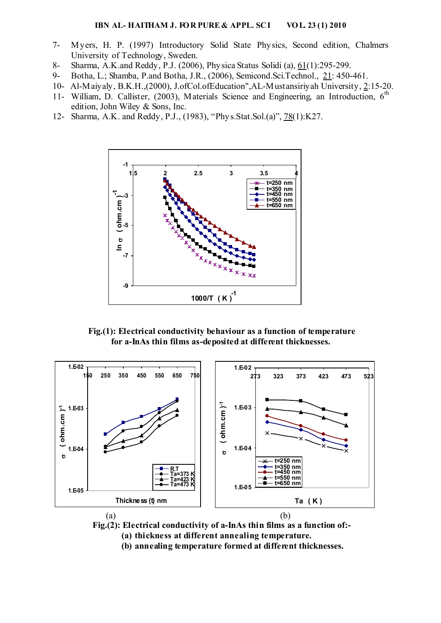#### **IBN AL- HAITHAM J. FOR PURE & APPL. SCI VOL. 23 (1) 2010**

- 7- Myers, H. P. (1997) Introductory Solid State Physics, Second edition, Chalmers University of Technology, Sweden.
- 8- Sharma, A.K.and Reddy, P.J. (2006), Physica Status Solidi (a), 61(1):295-299.
- 9- Botha, L.; Shamba, P.and Botha, J.R., (2006), Semicond.Sci.Technol., 21: 450-461.
- 10- Al-Maiyaly, B.K.H.,(2000), J.ofCol.ofEducation",AL-Mustansiriyah University, 2:15-20.
- 11- William, D. Callister, (2003), Materials Science and Engineering, an Introduction,  $6<sup>th</sup>$ edition, John Wiley & Sons, Inc.
- 12- Sharma, A.K. and Reddy, P.J., (1983), "Phys.Stat.Sol.(a)", 78(1):K27.



**Fig.(1): Electrical conductivity behaviour as a function of temperature for a-InAs thin films as-deposited at different thicknesses.** 



 **Fig.(2): Electrical conductivity of a-InAs thin films as a function of:-** 

**(a) thickness at different annealing temperature.** 

**(b) annealing temperature formed at different thicknesses.**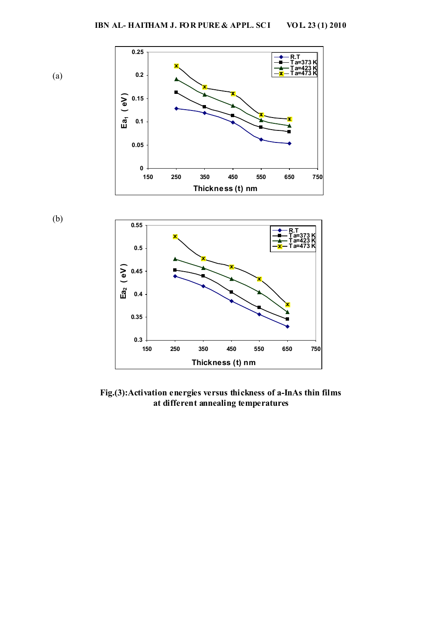

**Fig.(3):Activation energies versus thickness of a-InAs thin films at different annealing temperatures**